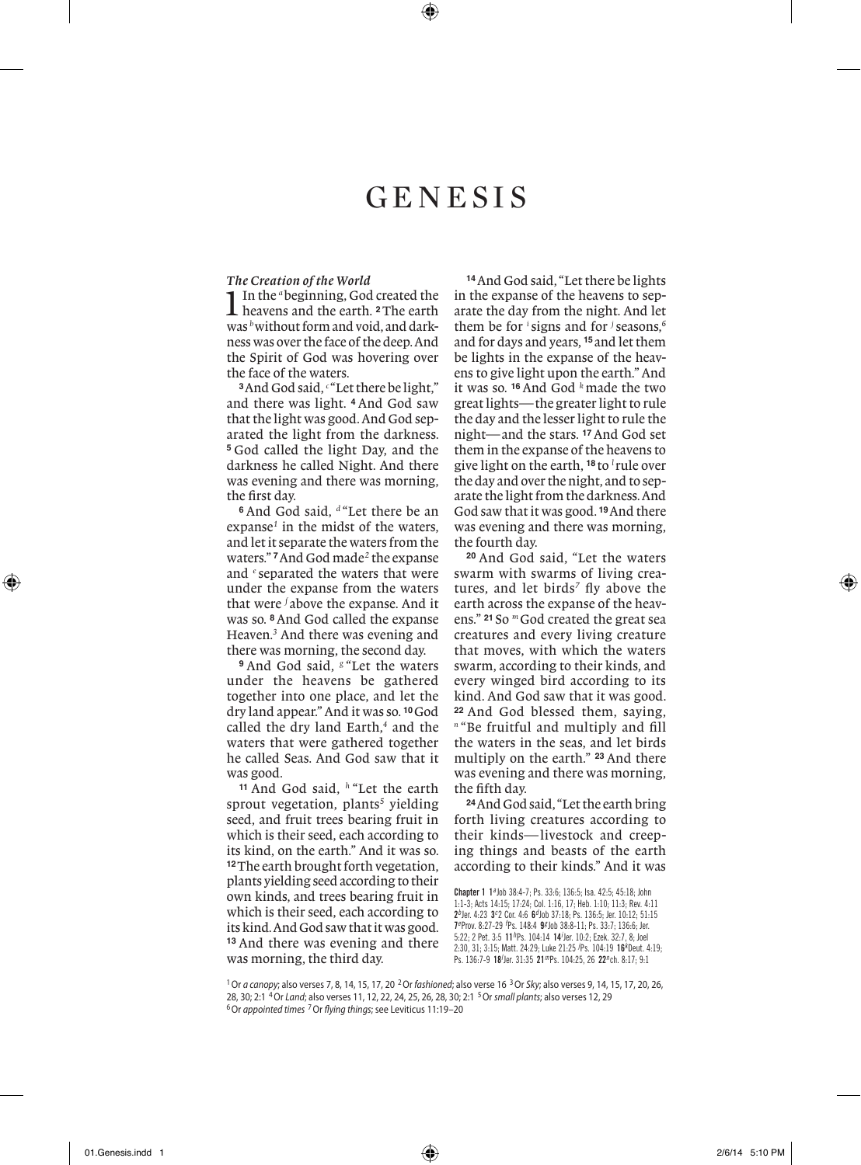# **GENESIS**

*The Creation of the World*<br>**1** In the "beginning, God created the 1In the *<sup>a</sup>*beginning, God created the heavens and the earth. **2**The earth was *b*without form and void, and darkness was over the face of the deep. And the Spirit of God was hovering over the face of the waters.

**<sup>3</sup>**And God said, *<sup>c</sup>* "Let there be light," and there was light. **<sup>4</sup>** And God saw that the light was good. And God separated the light from the darkness. **<sup>5</sup>** God called the light Day, and the darkness he called Night. And there was evening and there was morning, the first day.

**<sup>6</sup>** And God said, *<sup>d</sup>* "Let there be an expanse*<sup>1</sup>* in the midst of the waters, and let it separate the waters from the waters." **7**And God made*<sup>2</sup>* the expanse and *<sup>e</sup>* separated the waters that were under the expanse from the waters that were *<sup>f</sup>* above the expanse. And it was so. **8**And God called the expanse Heaven.*<sup>3</sup>* And there was evening and there was morning, the second day.

**<sup>9</sup>** And God said, *<sup>g</sup>* "Let the waters under the heavens be gathered together into one place, and let the dry land appear." And it was so. **10**God called the dry land Earth,*<sup>4</sup>* and the waters that were gathered together he called Seas. And God saw that it was good.

**<sup>11</sup>** And God said, *<sup>h</sup>* "Let the earth sprout vegetation, plants*<sup>5</sup>* yielding seed, and fruit trees bearing fruit in which is their seed, each according to its kind, on the earth." And it was so. **<sup>12</sup>**The earth brought forth vegetation, plants yielding seed according to their own kinds, and trees bearing fruit in which is their seed, each according to its kind. And God saw that it was good. **<sup>13</sup>** And there was evening and there was morning, the third day.

**<sup>14</sup>**And God said, "Let there be lights in the expanse of the heavens to separate the day from the night. And let them be for *<sup>i</sup>* signs and for *<sup>j</sup>* seasons,*<sup>6</sup>* and for days and years, **<sup>15</sup>** and let them be lights in the expanse of the heavens to give light upon the earth." And it was so. **<sup>16</sup>** And God *<sup>k</sup>* made the two great lights—the greater light to rule the day and the lesser light to rule the night—and the stars. **17**And God set them in the expanse of the heavens to give light on the earth, **<sup>18</sup>** to *<sup>l</sup>* rule over the day and over the night, and to separate the light from the darkness. And God saw that it was good. **19**And there was evening and there was morning, the fourth day.

**<sup>20</sup>** And God said, "Let the waters swarm with swarms of living creatures, and let birds<sup>7</sup> fly above the earth across the expanse of the heavens." **<sup>21</sup>** So *<sup>m</sup>*God created the great sea creatures and every living creature that moves, with which the waters swarm, according to their kinds, and every winged bird according to its kind. And God saw that it was good. **<sup>22</sup>** And God blessed them, saying, *<sup>n</sup>* "Be fruitful and multiply and fill the waters in the seas, and let birds multiply on the earth." **<sup>23</sup>** And there was evening and there was morning, the fifth day.

**<sup>24</sup>**And God said, "Let the earth bring forth living creatures according to their kinds— livestock and creeping things and beasts of the earth according to their kinds." And it was

Chapter 1 1*a* Job 38:4-7; Ps. 33:6; 136:5; Isa. 42:5; 45:18; John 1:1-3; Acts 14:15; 17:24; Col. 1:16, 17; Heb. 1:10; 11:3; Rev. 4:11 2*b* Jer. 4:23 3*<sup>c</sup>* 2 Cor. 4:6 6*d* Job 37:18; Ps. 136:5; Jer. 10:12; 51:15 7*e* Prov. 8:27-29 *<sup>f</sup>* Ps. 148:4 9*g* Job 38:8-11; Ps. 33:7; 136:6; Jer. 5:22; 2 Pet. 3:5 11<sup>h</sup>Ps. 104:14 14<sup>/</sup>Jer. 10:2; Ezek. 32:7, 8; Joel 2:30, 31; 3:15; Matt. 24:29; Luke 21:25 *<sup>j</sup>* Ps. 104:19 16*<sup>k</sup>* Deut. 4:19; Ps. 136:7-9 18<sup>/</sup>Jer. 31:35 21<sup>m</sup>Ps. 104:25, 26 22<sup>n</sup>ch. 8:17; 9:1

1Or *a canopy*; also verses 7, 8, 14, 15, 17, 20 2Or *fashioned*; also verse 16 3Or *Sky*; also verses 9, 14, 15, 17, 20, 26, 28, 30; 2:1 4Or *Land*; also verses 11, 12, 22, 24, 25, 26, 28, 30; 2:1 5Or *small plants*; also verses 12, 29 6Or *appointed times* 7Or *flying things*; see Leviticus 11:19–20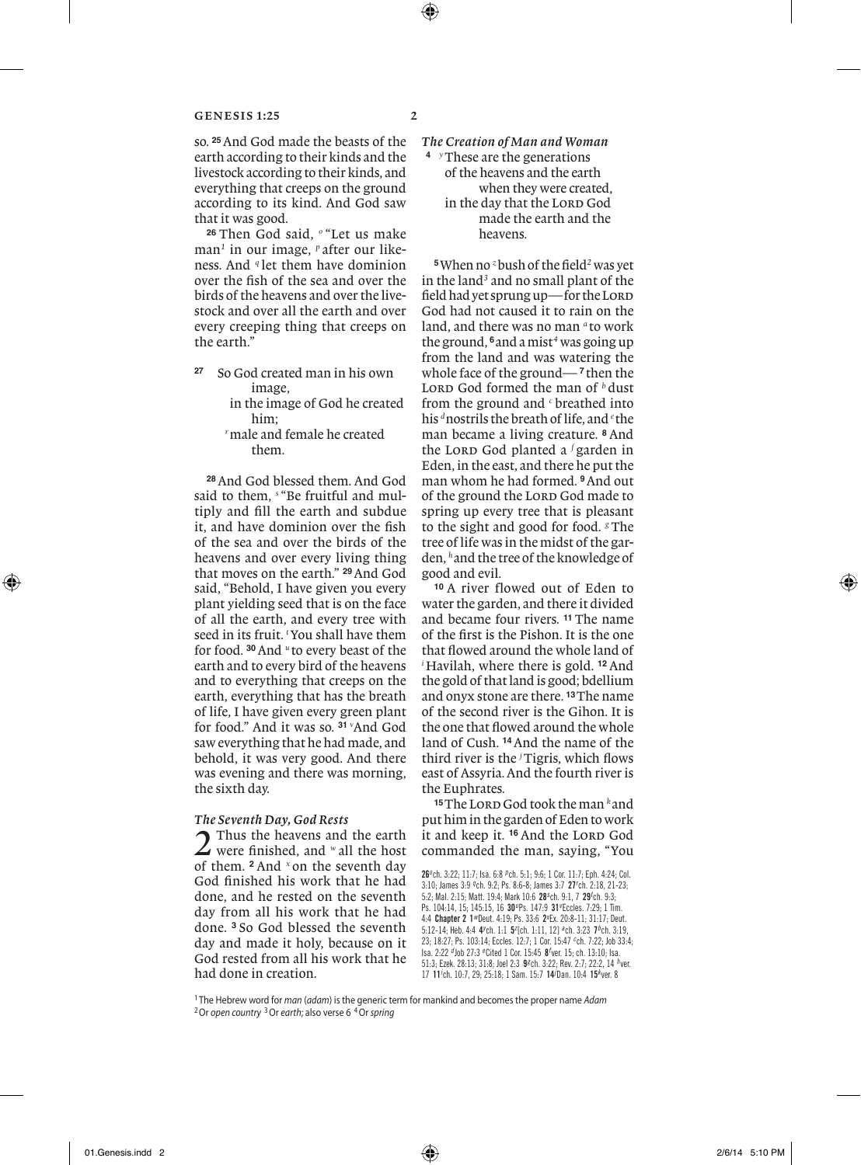so. **25**And God made the beasts of the earth according to their kinds and the livestock according to their kinds, and everything that creeps on the ground according to its kind. And God saw that it was good.

**<sup>26</sup>** Then God said, *<sup>o</sup>* "Let us make man*<sup>1</sup>* in our image, *<sup>p</sup>* after our likeness. And *<sup>q</sup>* let them have dominion over the fish of the sea and over the birds of the heavens and over the livestock and over all the earth and over every creeping thing that creeps on the earth."

- **<sup>27</sup>** So God created man in his own image,
	- in the image of God he created him;
	- *<sup>r</sup>*male and female he created them.

**<sup>28</sup>**And God blessed them. And God said to them, *<sup>s</sup>* "Be fruitful and multiply and fill the earth and subdue it, and have dominion over the fish of the sea and over the birds of the heavens and over every living thing that moves on the earth." **29**And God said, "Behold, I have given you every plant yielding seed that is on the face of all the earth, and every tree with seed in its fruit. *<sup>t</sup>* You shall have them for food. **30**And *<sup>u</sup>* to every beast of the earth and to every bird of the heavens and to everything that creeps on the earth, everything that has the breath of life, I have given every green plant for food." And it was so. **<sup>31</sup>** *<sup>v</sup>* And God saw everything that he had made, and behold, it was very good. And there was evening and there was morning, the sixth day.

# *The Seventh Day, God Rests*

2 Thus the heavens and the earth were finished, and *<sup>w</sup>* all the host of them. **<sup>2</sup>** And *<sup>x</sup>* on the seventh day God finished his work that he had done, and he rested on the seventh day from all his work that he had done. **<sup>3</sup>** So God blessed the seventh day and made it holy, because on it God rested from all his work that he had done in creation.

*The Creation of Man and Woman* **<sup>4</sup>** *<sup>y</sup>*These are the generations of the heavens and the earth when they were created, in the day that the LORD God made the earth and the heavens.

**<sup>5</sup>**When no *<sup>z</sup>*bush of the field*<sup>2</sup>* was yet in the land<sup>3</sup> and no small plant of the field had yet sprung up-for the LORD God had not caused it to rain on the land, and there was no man *<sup>a</sup>* to work the ground, **6**and a mist*<sup>4</sup>* was going up from the land and was watering the whole face of the ground— **<sup>7</sup>** then the LORD God formed the man of  $<sup>b</sup>$  dust</sup> from the ground and *<sup>c</sup>* breathed into his *<sup>d</sup>*nostrils the breath of life, and *<sup>e</sup>* the man became a living creature. **<sup>8</sup>** And the Lord God planted a <sup>*f*</sup> garden in Eden, in the east, and there he put the man whom he had formed. **9**And out of the ground the LORD God made to spring up every tree that is pleasant to the sight and good for food. *<sup>g</sup>* The tree of life was in the midst of the garden, *<sup>h</sup>*and the tree of the knowledge of good and evil.

**<sup>10</sup>** A river flowed out of Eden to water the garden, and there it divided and became four rivers. **<sup>11</sup>** The name of the first is the Pishon. It is the one that flowed around the whole land of *i* Havilah, where there is gold. **12**And the gold of that land is good; bdellium and onyx stone are there. **13**The name of the second river is the Gihon. It is the one that flowed around the whole land of Cush. **14**And the name of the third river is the *<sup>j</sup>* Tigris, which flows east of Assyria. And the fourth river is the Euphrates.

**<sup>15</sup>**The Lord God took the man *<sup>k</sup>* and put him in the garden of Eden to work it and keep it. <sup>16</sup> And the LORD God commanded the man, saying, "You

<sup>1</sup> The Hebrew word for *man* (*adam*) is the generic term for mankind and becomes the proper name *Adam* 2Or *open country* 3Or *earth*; also verse 6 4Or *spring*

<sup>26</sup>*<sup>o</sup>* ch. 3:22; 11:7; Isa. 6:8 *p* ch. 5:1; 9:6; 1 Cor. 11:7; Eph. 4:24; Col. 3:10; James 3:9 *q* ch. 9:2; Ps. 8:6-8; James 3:7 27*<sup>r</sup>* ch. 2:18, 21-23; 5:2; Mal. 2:15; Matt. 19:4; Mark 10:6 28*<sup>s</sup>* ch. 9:1, 7 29*<sup>t</sup>* ch. 9:3; Ps. 104:14, 15; 145:15, 16 30<sup>p</sup>Ps. 147:9 31<sup>P</sup>Eccles. 7:29; 1 Tim. 4:4 Chapter 2 1*w* Deut. 4:19; Ps. 33:6 2*<sup>x</sup>* Ex. 20:8-11; 31:17; Deut. 5:12-14; Heb. 4:4 4<sup>*y*</sup>ch. 1:1 5<sup>2</sup>[ch. 1:11, 12] <sup>a</sup>ch. 3:23 7<sup>b</sup>ch. 3:19, 23; 18:27; Ps. 103:14; Eccles. 12:7; 1 Cor. 15:47 *<sup>c</sup>* ch. 7:22; Job 33:4; Isa. 2:22 *d* Job 27:3 *<sup>e</sup>* Cited 1 Cor. 15:45 8*<sup>f</sup>* ver. 15; ch. 13:10; Isa. 51:3; Ezek. 28:13; 31:8; Joel 2:3 9*g* ch. 3:22; Rev. 2:7; 22:2, 14 *h* ver. 17 11*<sup>i</sup>* ch. 10:7, 29; 25:18; 1 Sam. 15:7 14*<sup>j</sup>* Dan. 10:4 15*<sup>k</sup>* ver. 8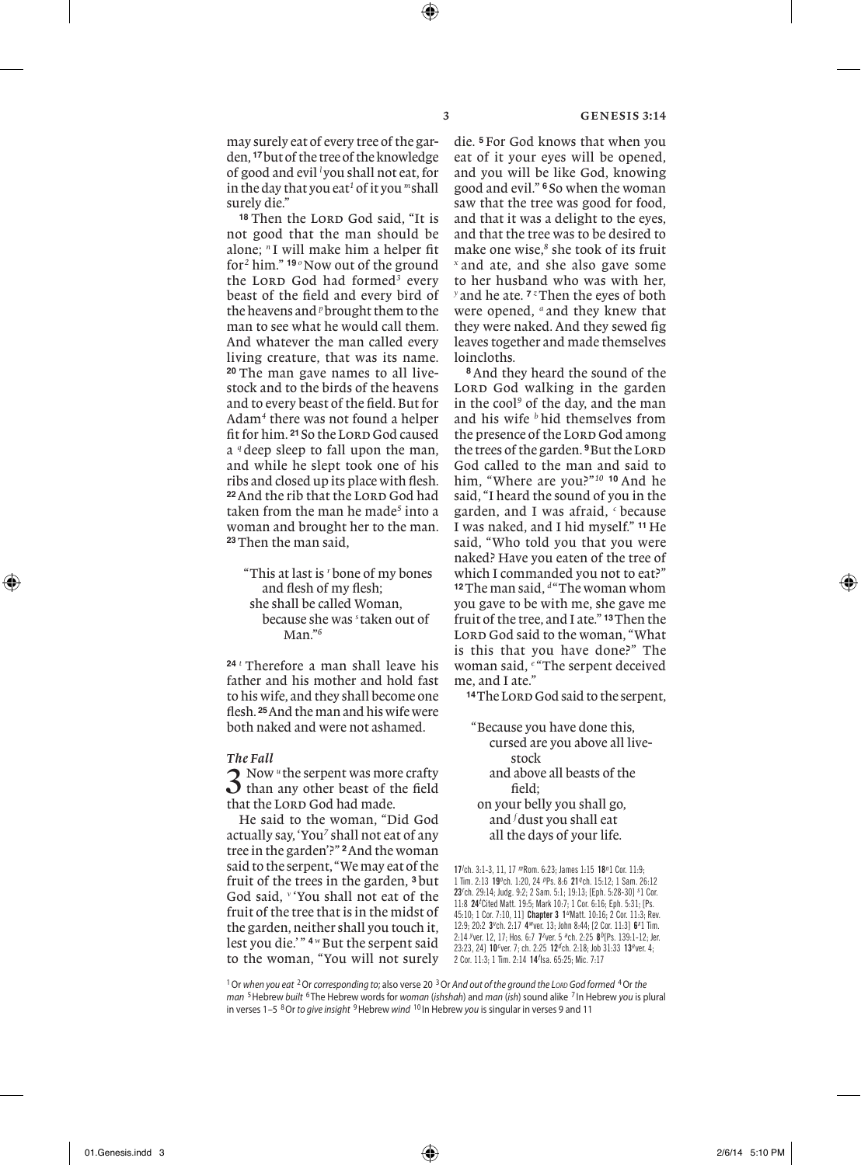may surely eat of every tree of the garden, **17**but of the tree of the knowledge of good and evil *<sup>l</sup>* you shall not eat, for in the day that you eat*<sup>1</sup>* of it you *<sup>m</sup>*shall surely die."

<sup>18</sup> Then the LORD God said, "It is not good that the man should be alone; *<sup>n</sup>* I will make him a helper fit for<sup>2</sup> him." <sup>19</sup> <sup>o</sup>Now out of the ground the LORD God had formed<sup>3</sup> every beast of the field and every bird of the heavens and *<sup>p</sup>*brought them to the man to see what he would call them. And whatever the man called every living creature, that was its name. **<sup>20</sup>** The man gave names to all livestock and to the birds of the heavens and to every beast of the field. But for Adam*<sup>4</sup>* there was not found a helper fit for him. <sup>21</sup> So the LORD God caused a *<sup>q</sup>* deep sleep to fall upon the man, and while he slept took one of his ribs and closed up its place with flesh. <sup>22</sup> And the rib that the LORD God had taken from the man he made*<sup>5</sup>* into a woman and brought her to the man. **<sup>23</sup>**Then the man said,

"This at last is *<sup>r</sup>*bone of my bones and flesh of my flesh; she shall be called Woman, because she was *<sup>s</sup>* taken out of Man."*<sup>6</sup>*

**<sup>24</sup>** *<sup>t</sup>* Therefore a man shall leave his father and his mother and hold fast to his wife, and they shall become one flesh. **25**And the man and his wife were both naked and were not ashamed.

#### *The Fall*

3 Now *<sup>u</sup>* the serpent was more crafty than any other beast of the field that the LORD God had made.

He said to the woman, "Did God actually say, 'You<sup>7</sup> shall not eat of any tree in the garden'?" **2**And the woman said to the serpent, "We may eat of the fruit of the trees in the garden, **<sup>3</sup>** but God said, *<sup>v</sup>* 'You shall not eat of the fruit of the tree that is in the midst of the garden, neither shall you touch it, lest you die.'" <sup>4</sup> <sup>*w*</sup> But the serpent said to the woman, "You will not surely

die. **<sup>5</sup>** For God knows that when you eat of it your eyes will be opened, and you will be like God, knowing good and evil." **<sup>6</sup>** So when the woman saw that the tree was good for food, and that it was a delight to the eyes, and that the tree was to be desired to make one wise,<sup>8</sup> she took of its fruit *<sup>x</sup>* and ate, and she also gave some to her husband who was with her, *y* and he ate. **7** *z* Then the eyes of both were opened, *<sup>a</sup>* and they knew that they were naked. And they sewed fig leaves together and made themselves loincloths.

**<sup>8</sup>**And they heard the sound of the LORD God walking in the garden in the cool*<sup>9</sup>* of the day, and the man and his wife *<sup>b</sup>* hid themselves from the presence of the LORD God among the trees of the garden. <sup>9</sup>But the LORD God called to the man and said to him, "Where are you?"*<sup>10</sup>* **<sup>10</sup>** And he said, "I heard the sound of you in the garden, and I was afraid, *<sup>c</sup>* because I was naked, and I hid myself." **<sup>11</sup>** He said, "Who told you that you were naked? Have you eaten of the tree of which I commanded you not to eat?" <sup>12</sup>The man said, <sup>*d*</sup> "The woman whom you gave to be with me, she gave me fruit of the tree, and I ate." **13**Then the LORD God said to the woman, "What is this that you have done?" The woman said, <sup>e "The serpent deceived</sup> me, and I ate."

<sup>14</sup>The Lord God said to the serpent,

"Because you have done this, cursed are you above all livestock and above all beasts of the field; on your belly you shall go, and *<sup>f</sup>* dust you shall eat all the days of your life.

17*l* ch. 3:1-3, 11, 17 *m* Rom. 6:23; James 1:15 18*n* 1 Cor. 11:9; 1 Tim. 2:13 19*<sup>o</sup>* ch. 1:20, 24 *p* Ps. 8:6 21*q* ch. 15:12; 1 Sam. 26:12 23*r* ch. 29:14; Judg. 9:2; 2 Sam. 5:1; 19:13; [Eph. 5:28-30] *<sup>s</sup>* 1 Cor. 11:8 24*<sup>t</sup>* Cited Matt. 19:5; Mark 10:7; 1 Cor. 6:16; Eph. 5:31; [Ps. 45:10; 1 Cor. 7:10, 11] Chapter 3 1*u* Matt. 10:16; 2 Cor. 11:3; Rev. 12:9; 20:2 3<sup>*v*</sup>ch. 2:17 4<sup>*w*</sup> ver. 13; John 8:44; [2 Cor. 11:3] 6<sup>x</sup>1 Tim. 2:14 */ver.* 12, 17; Hos. 6:7 7<sup>z</sup>ver. 5 <sup>a</sup>ch. 2:25 8<sup>b</sup> [Ps. 139:1-12; Jer. 23:23, 24] 10*<sup>c</sup>* ver. 7; ch. 2:25 12*d* ch. 2:18; Job 31:33 13*<sup>e</sup>* ver. 4; 2 Cor. 11:3; 1 Tim. 2:14 14*<sup>f</sup>* Isa. 65:25; Mic. 7:17

1Or *when you eat* 2Or *corresponding to*; also verse 20 3Or *And out of the ground the Lord God formed* 4Or *the man* 5Hebrew *built* <sup>6</sup> The Hebrew words for *woman* (*ishshah*) and *man* (*ish*) sound alike <sup>7</sup> In Hebrew *you* is plural in verses 1–5 8Or *to give insight* 9Hebrew *wind* <sup>10</sup> In Hebrew *you* is singular in verses 9 and 11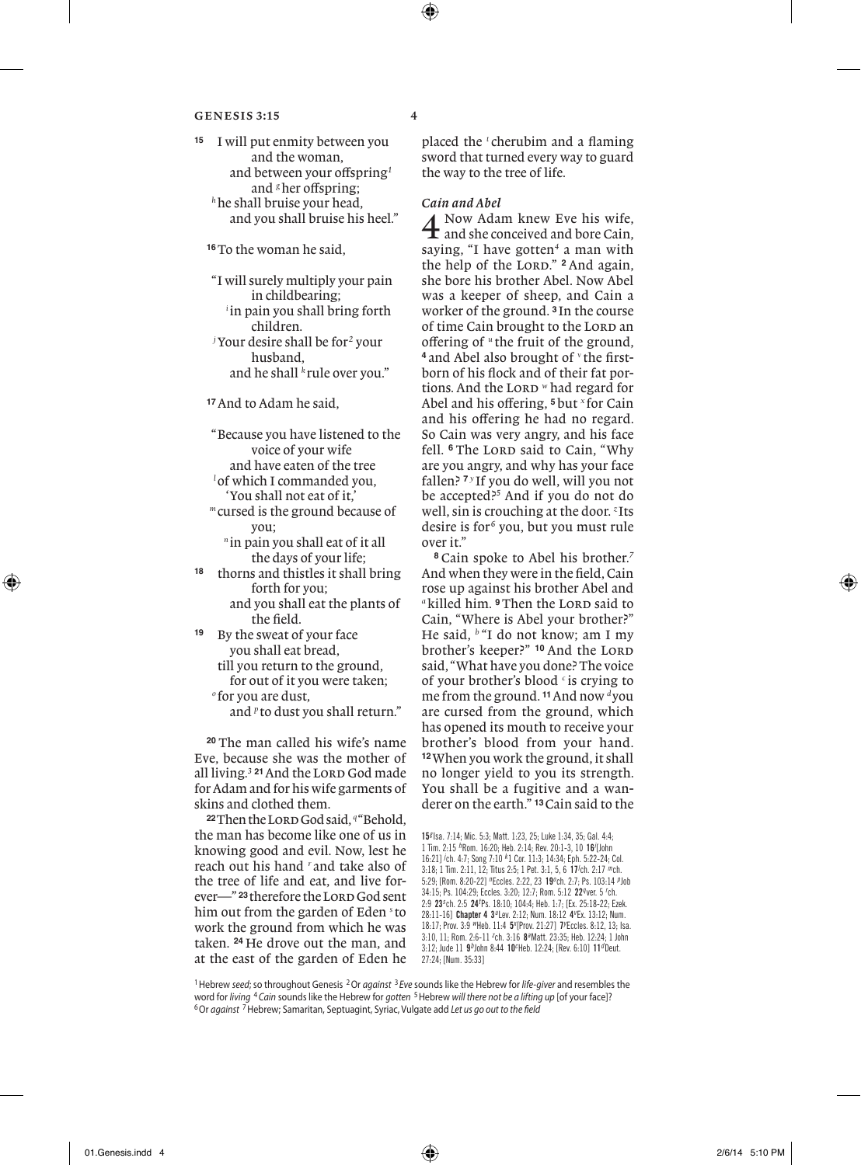**<sup>15</sup>** I will put enmity between you and the woman, and between your offspring*<sup>1</sup>* and <sup>*g*</sup> her offspring; *<sup>h</sup>*he shall bruise your head, and you shall bruise his heel."

**<sup>16</sup>**To the woman he said,

"I will surely multiply your pain in childbearing; *i* in pain you shall bring forth children. *j* Your desire shall be for*<sup>2</sup>* your

husband, and he shall *<sup>k</sup>* rule over you."

**<sup>17</sup>**And to Adam he said,

"Because you have listened to the voice of your wife and have eaten of the tree

*l* of which I commanded you, 'You shall not eat of it,'

*<sup>m</sup>* cursed is the ground because of you;

*<sup>n</sup>* in pain you shall eat of it all the days of your life;

**<sup>18</sup>** thorns and thistles it shall bring forth for you;

 and you shall eat the plants of the field.

**<sup>19</sup>** By the sweat of your face you shall eat bread,

> till you return to the ground, for out of it you were taken; *<sup>o</sup>* for you are dust, and *<sup>p</sup>* to dust you shall return."

**<sup>20</sup>** The man called his wife's name Eve, because she was the mother of all living.<sup>3</sup> <sup>21</sup> And the LORD God made for Adam and for his wife garments of skins and clothed them.

**<sup>22</sup>**Then the Lord God said, *<sup>q</sup>*"Behold, the man has become like one of us in knowing good and evil. Now, lest he reach out his hand *<sup>r</sup>* and take also of the tree of life and eat, and live forever<sup>-" 23</sup> therefore the LORD God sent him out from the garden of Eden *<sup>s</sup>* to work the ground from which he was taken. **<sup>24</sup>** He drove out the man, and at the east of the garden of Eden he

placed the *<sup>t</sup>* cherubim and a flaming sword that turned every way to guard the way to the tree of life.

*Cain and Abel*<br>
4 Now Adam knew Eve his wife,<br>
4 and she conceived and bore Cain, and she conceived and bore Cain, saying, "I have gotten<sup>4</sup> a man with the help of the LORD." <sup>2</sup> And again, she bore his brother Abel. Now Abel was a keeper of sheep, and Cain a worker of the ground. **<sup>3</sup>** In the course of time Cain brought to the LORD an offering of *<sup>u</sup>* the fruit of the ground, **<sup>4</sup>** and Abel also brought of *<sup>v</sup>* the firstborn of his flock and of their fat portions. And the LORD *w* had regard for Abel and his offering, **5**but *<sup>x</sup>* for Cain and his offering he had no regard. So Cain was very angry, and his face fell. <sup>6</sup> The LORD said to Cain, "Why are you angry, and why has your face fallen? **<sup>7</sup>** *<sup>y</sup>* If you do well, will you not be accepted?*<sup>5</sup>* And if you do not do well, sin is crouching at the door. *<sup>z</sup>* Its desire is for<sup>6</sup> you, but you must rule over it."

**<sup>8</sup>** Cain spoke to Abel his brother.*<sup>7</sup>* And when they were in the field, Cain rose up against his brother Abel and <sup>a</sup>killed him. <sup>9</sup>Then the LORD said to Cain, "Where is Abel your brother?" He said, *<sup>b</sup>* "I do not know; am I my brother's keeper?" <sup>10</sup> And the LORD said, "What have you done? The voice of your brother's blood *<sup>c</sup>* is crying to me from the ground. **11**And now *<sup>d</sup>*you are cursed from the ground, which has opened its mouth to receive your brother's blood from your hand. **<sup>12</sup>**When you work the ground, it shall no longer yield to you its strength. You shall be a fugitive and a wanderer on the earth." **13**Cain said to the

15*g* Isa. 7:14; Mic. 5:3; Matt. 1:23, 25; Luke 1:34, 35; Gal. 4:4; 1 Tim. 2:15 *h* Rom. 16:20; Heb. 2:14; Rev. 20:1-3, 10 16*<sup>i</sup>* [John 16:21] *<sup>j</sup>* ch. 4:7; Song 7:10 *<sup>k</sup>* 1 Cor. 11:3; 14:34; Eph. 5:22-24; Col. 3:18; 1 Tim. 2:11, 12; Titus 2:5; 1 Pet. 3:1, 5, 6 17*<sup>l</sup>* ch. 2:17 *m* ch. 5:29; [Rom. 8:20-22] *n* Eccles. 2:22, 23 19*<sup>o</sup>* ch. 2:7; Ps. 103:14 *p* Job 34:15; Ps. 104:29; Eccles. 3:20; 12:7; Rom. 5:12 22*q* ver. 5 *<sup>r</sup>* ch. 2:9 23*<sup>s</sup>* ch. 2:5 24*<sup>t</sup>* Ps. 18:10; 104:4; Heb. 1:7; [Ex. 25:18-22; Ezek. 28:11-16] Chapter 4 3*u* Lev. 2:12; Num. 18:12 4*<sup>v</sup>* Ex. 13:12; Num. 18:17; Prov. 3:9 *w* Heb. 11:4 5*<sup>x</sup>* [Prov. 21:27] 7*<sup>y</sup>* Eccles. 8:12, 13; Isa. 3:10, 11; Rom. 2:6-11 *<sup>z</sup>* ch. 3:16 8*a* Matt. 23:35; Heb. 12:24; 1 John 3:12; Jude 11 9*b* John 8:44 10*<sup>c</sup>* Heb. 12:24; [Rev. 6:10] 11*d* Deut. 27:24; [Num. 35:33]

1Hebrew *seed*; so throughout Genesis 2Or *against* <sup>3</sup> *Eve* sounds like the Hebrew for *life-giver* and resembles the word for *living* <sup>4</sup>*Cain* sounds like the Hebrew for *gotten* 5Hebrew *will there not be a lifting up* [of your face]? 6Or *against* 7Hebrew; Samaritan, Septuagint, Syriac, Vulgate add *Let us go out to the field*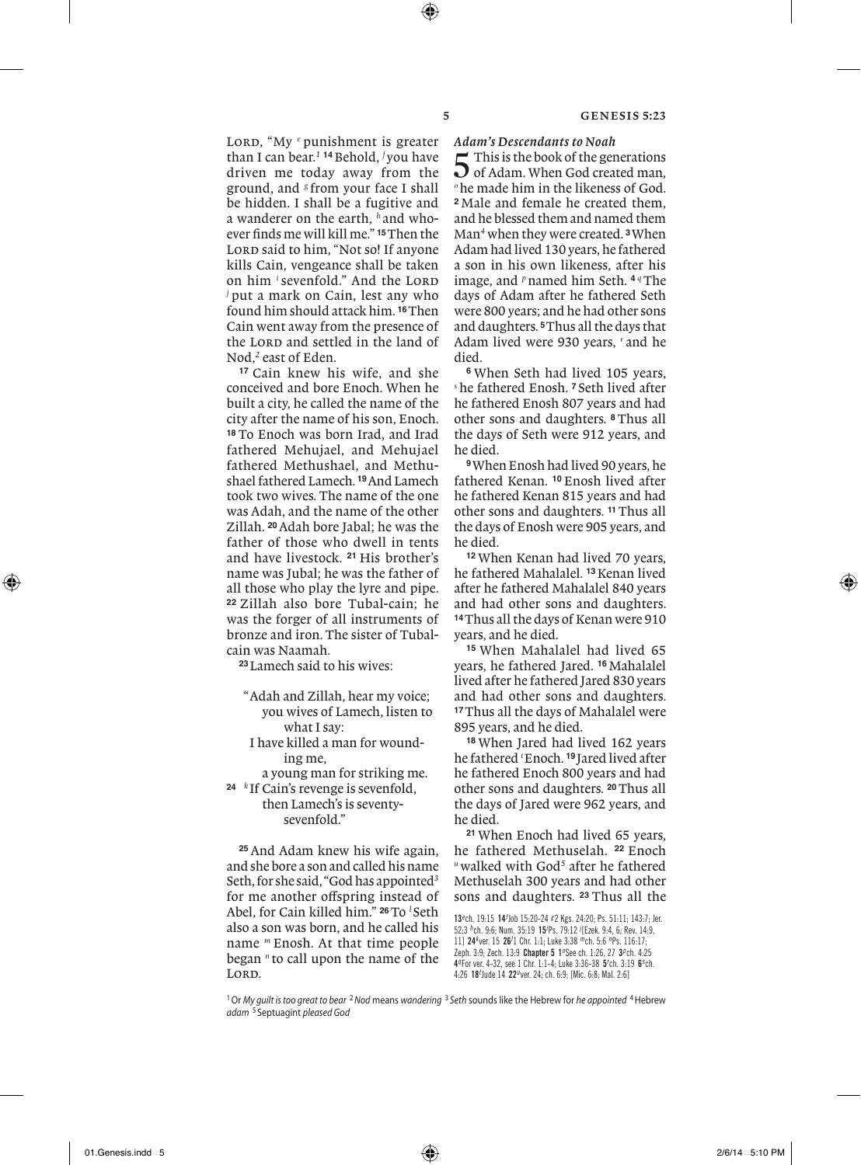LORD, "My <sup>*e*</sup> punishment is greater than I can bear.*<sup>1</sup>* **<sup>14</sup>**Behold, *<sup>f</sup>* you have driven me today away from the ground, and *<sup>g</sup>* from your face I shall be hidden. I shall be a fugitive and a wanderer on the earth, *<sup>h</sup>* and whoever finds me will kill me." **15**Then the LORD said to him, "Not so! If anyone kills Cain, vengeance shall be taken on him *i* sevenfold." And the LORD *<sup>j</sup>* put a mark on Cain, lest any who found him should attack him. **16**Then Cain went away from the presence of the LORD and settled in the land of Nod,*<sup>2</sup>* east of Eden.

**<sup>17</sup>** Cain knew his wife, and she conceived and bore Enoch. When he built a city, he called the name of the city after the name of his son, Enoch. **<sup>18</sup>** To Enoch was born Irad, and Irad fathered Mehujael, and Mehujael fathered Methushael, and Methushael fathered Lamech. **19**And Lamech took two wives. The name of the one was Adah, and the name of the other Zillah. **20**Adah bore Jabal; he was the father of those who dwell in tents and have livestock. **<sup>21</sup>** His brother's name was Jubal; he was the father of all those who play the lyre and pipe. **<sup>22</sup>** Zillah also bore Tubal-cain; he was the forger of all instruments of bronze and iron. The sister of Tubalcain was Naamah.

**<sup>23</sup>**Lamech said to his wives:

- "Adah and Zillah, hear my voice; you wives of Lamech, listen to what I say:
- I have killed a man for wounding me,

 a young man for striking me. **<sup>24</sup>** *<sup>k</sup>* If Cain's revenge is sevenfold,

 then Lamech's is seventy-sevenfold."

**<sup>25</sup>** And Adam knew his wife again, and she bore a son and called his name Seth, for she said, "God has appointed*<sup>3</sup>* for me another offspring instead of Abel, for Cain killed him." **26**To *<sup>l</sup>* Seth also a son was born, and he called his name *<sup>m</sup>* Enosh. At that time people began *<sup>n</sup>* to call upon the name of the LORD.

*Adam's Descendants to Noah*

5 This is the book of the generations<br>
of Adam. When God created man, *<sup>o</sup>*he made him in the likeness of God. **<sup>2</sup>** Male and female he created them, and he blessed them and named them Man*<sup>4</sup>* when they were created. **3**When Adam had lived 130 years, he fathered a son in his own likeness, after his image, and *<sup>p</sup>*named him Seth. **<sup>4</sup>** *<sup>q</sup>*The days of Adam after he fathered Seth were 800 years; and he had other sons and daughters. **5**Thus all the days that Adam lived were 930 years, *<sup>r</sup>* and he died.

**<sup>6</sup>** When Seth had lived 105 years, *<sup>s</sup>* he fathered Enosh. **<sup>7</sup>** Seth lived after he fathered Enosh 807 years and had other sons and daughters. **<sup>8</sup>** Thus all the days of Seth were 912 years, and he died.

**<sup>9</sup>**When Enosh had lived 90 years, he fathered Kenan. **<sup>10</sup>** Enosh lived after he fathered Kenan 815 years and had other sons and daughters. **11**Thus all the days of Enosh were 905 years, and he died.

**<sup>12</sup>** When Kenan had lived 70 years, he fathered Mahalalel. **13**Kenan lived after he fathered Mahalalel 840 years and had other sons and daughters. **<sup>14</sup>**Thus all the days of Kenan were 910 years, and he died.

**<sup>15</sup>** When Mahalalel had lived 65 years, he fathered Jared. **<sup>16</sup>** Mahalalel lived after he fathered Jared 830 years and had other sons and daughters. **<sup>17</sup>**Thus all the days of Mahalalel were 895 years, and he died.

**<sup>18</sup>** When Jared had lived 162 years he fathered *<sup>t</sup>* Enoch. **<sup>19</sup>** Jared lived after he fathered Enoch 800 years and had other sons and daughters. **20**Thus all the days of Jared were 962 years, and he died.

**<sup>21</sup>** When Enoch had lived 65 years, he fathered Methuselah. **<sup>22</sup>** Enoch *<sup>u</sup>*walked with God*<sup>5</sup>* after he fathered Methuselah 300 years and had other sons and daughters. **<sup>23</sup>** Thus all the

13*<sup>e</sup>* ch. 19:15 14*<sup>f</sup>* Job 15:20-24 *g* 2 Kgs. 24:20; Ps. 51:11; 143:7; Jer. 52:3 *h* ch. 9:6; Num. 35:19 15*<sup>i</sup>* Ps. 79:12 *<sup>j</sup>* [Ezek. 9:4, 6; Rev. 14:9, 11] 24*<sup>k</sup>* ver. 15 26*<sup>l</sup>* 1 Chr. 1:1; Luke 3:38 *m* ch. 5:6 *n* Ps. 116:17; Zeph. 3:9; Zech. 13:9 Chapter 5 1°See ch. 1:26, 27 3<sup>p</sup> ch. 4:25 4*q* For ver. 4-32, see 1 Chr. 1:1-4; Luke 3:36-38 5*<sup>r</sup>* ch. 3:19 6*<sup>s</sup>* ch. 4:26 18*<sup>t</sup>* Jude 14 22*u* ver. 24; ch. 6:9; [Mic. 6:8; Mal. 2:6]

<sup>1</sup>Or *My guilt is too great to bear* <sup>2</sup>*Nod* means *wandering* <sup>3</sup> *Seth* sounds like the Hebrew for *he appointed* 4Hebrew *adam* <sup>5</sup> Septuagint *pleased God*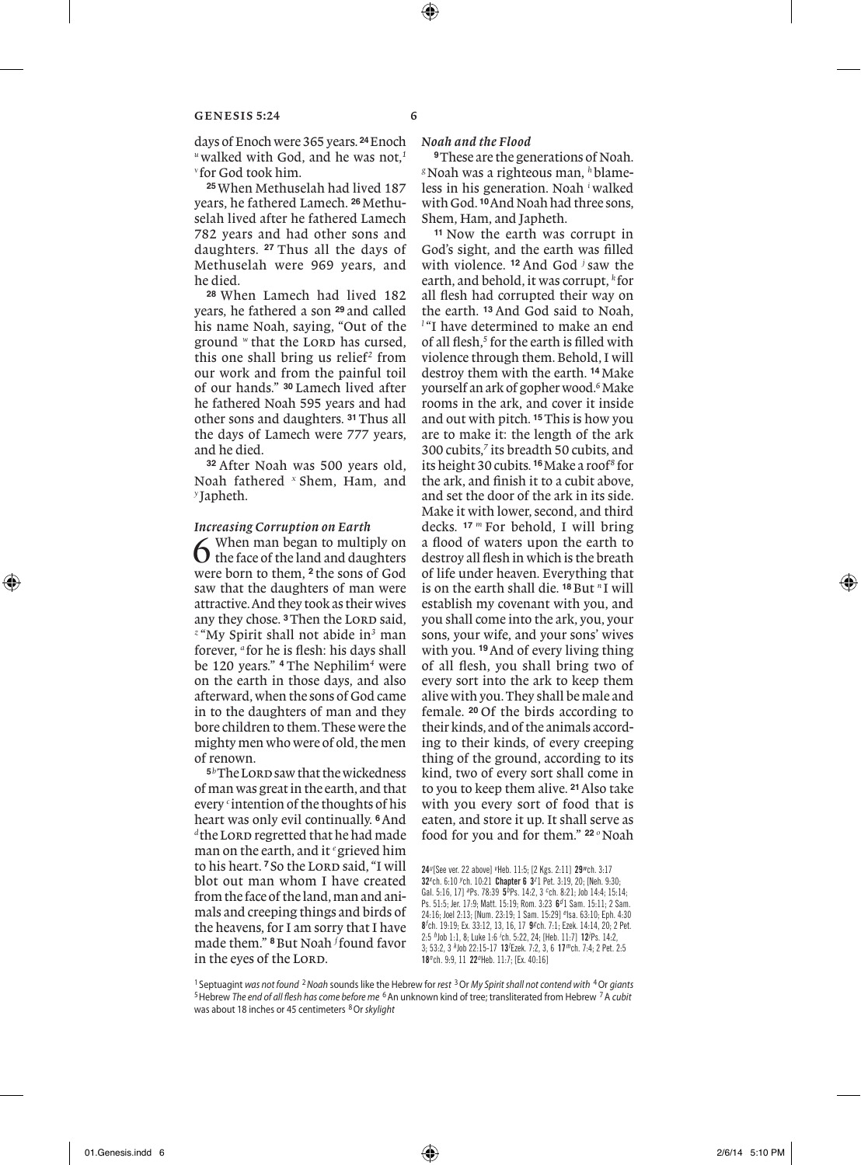days of Enoch were 365 years. **24**Enoch *<sup>u</sup>* walked with God, and he was not,*<sup>1</sup> <sup>v</sup>* for God took him.

**<sup>25</sup>**When Methuselah had lived 187 years, he fathered Lamech. **26**Methuselah lived after he fathered Lamech 782 years and had other sons and daughters. **<sup>27</sup>** Thus all the days of Methuselah were 969 years, and he died.

**<sup>28</sup>** When Lamech had lived 182 years, he fathered a son **<sup>29</sup>** and called his name Noah, saying, "Out of the ground *w* that the LORD has cursed. this one shall bring us relief<sup>2</sup> from our work and from the painful toil of our hands." **<sup>30</sup>** Lamech lived after he fathered Noah 595 years and had other sons and daughters. **31**Thus all the days of Lamech were 777 years, and he died.

**<sup>32</sup>** After Noah was 500 years old, Noah fathered *<sup>x</sup>* Shem, Ham, and *<sup>y</sup>* Japheth.

# *Increasing Corruption on Earth*

 $\bigodot$  when man began to multiply on the face of the land and daughters were born to them, **<sup>2</sup>** the sons of God saw that the daughters of man were attractive. And they took as their wives any they chose.<sup>3</sup>Then the LORD said. *<sup>z</sup>* "My Spirit shall not abide in*<sup>3</sup>* man forever, *<sup>a</sup>* for he is flesh: his days shall be 120 years." **<sup>4</sup>** The Nephilim*<sup>4</sup>* were on the earth in those days, and also afterward, when the sons of God came in to the daughters of man and they bore children to them. These were the mighty men who were of old, the men of renown.

**<sup>5</sup>***<sup>b</sup>*The Lord saw that the wickedness of man was great in the earth, and that every *<sup>c</sup>* intention of the thoughts of his heart was only evil continually. **6**And <sup>d</sup> the LORD regretted that he had made man on the earth, and it *<sup>e</sup>*grieved him to his heart.<sup>7</sup> So the LORD said, "I will blot out man whom I have created from the face of the land, man and animals and creeping things and birds of the heavens, for I am sorry that I have made them." **8**But Noah *<sup>f</sup>* found favor in the eyes of the LORD.

# *Noah and the Flood*

**9**These are the generations of Noah. *g*Noah was a righteous man, *h*blameless in his generation. Noah *<sup>i</sup>* walked with God. **10**And Noah had three sons, Shem, Ham, and Japheth.

**<sup>11</sup>** Now the earth was corrupt in God's sight, and the earth was filled with violence. **<sup>12</sup>** And God *<sup>j</sup>* saw the earth, and behold, it was corrupt, *<sup>k</sup>* for all flesh had corrupted their way on the earth. **<sup>13</sup>** And God said to Noah, *l* "I have determined to make an end of all flesh,*<sup>5</sup>* for the earth is filled with violence through them. Behold, I will destroy them with the earth. **14**Make yourself an ark of gopher wood.*<sup>6</sup>* Make rooms in the ark, and cover it inside and out with pitch. **15**This is how you are to make it: the length of the ark 300 cubits,*<sup>7</sup>* its breadth 50 cubits, and its height 30 cubits. **16**Make a roof*<sup>8</sup>* for the ark, and finish it to a cubit above, and set the door of the ark in its side. Make it with lower, second, and third decks. **<sup>17</sup>** *<sup>m</sup>* For behold, I will bring a flood of waters upon the earth to destroy all flesh in which is the breath of life under heaven. Everything that is on the earth shall die. **18**But *<sup>n</sup>* I will establish my covenant with you, and you shall come into the ark, you, your sons, your wife, and your sons' wives with you. **19**And of every living thing of all flesh, you shall bring two of every sort into the ark to keep them alive with you. They shall be male and female. **<sup>20</sup>** Of the birds according to their kinds, and of the animals according to their kinds, of every creeping thing of the ground, according to its kind, two of every sort shall come in to you to keep them alive. **21**Also take with you every sort of food that is eaten, and store it up. It shall serve as food for you and for them." <sup>22</sup> <sup>*o*</sup> Noah

24*u* [See ver. 22 above] *<sup>v</sup>* Heb. 11:5; [2 Kgs. 2:11] 29*w* ch. 3:17 32*<sup>x</sup>* ch. 6:10 *<sup>y</sup>* ch. 10:21 Chapter 6 3*<sup>z</sup>* 1 Pet. 3:19, 20; [Neh. 9:30; Gal. 5:16, 17] *a* Ps. 78:39 5*b* Ps. 14:2, 3 *<sup>c</sup>* ch. 8:21; Job 14:4; 15:14; Ps. 51:5; Jer. 17:9; Matt. 15:19; Rom. 3:23 6*d* 1 Sam. 15:11; 2 Sam. 24:16; Joel 2:13; [Num. 23:19; 1 Sam. 15:29] *<sup>e</sup>* Isa. 63:10; Eph. 4:30 8*f* ch. 19:19; Ex. 33:12, 13, 16, 17 9*g* ch. 7:1; Ezek. 14:14, 20; 2 Pet. 2:5 *h* Job 1:1, 8; Luke 1:6 *<sup>i</sup>* ch. 5:22, 24; [Heb. 11:7] 12*<sup>j</sup>* Ps. 14:2, 3; 53:2, 3 *<sup>k</sup>* Job 22:15-17 13*<sup>l</sup>* Ezek. 7:2, 3, 6 17*m* ch. 7:4; 2 Pet. 2:5 18*n* ch. 9:9, 11 22*<sup>o</sup>* Heb. 11:7; [Ex. 40:16]

<sup>1</sup> Septuagint *was not found* <sup>2</sup>*Noah* sounds like the Hebrew for *rest* 3Or *My Spirit shall not contend with* 4Or *giants* 5Hebrew *The end of all flesh has come before me* 6An unknown kind of tree; transliterated from Hebrew 7A *cubit* was about 18 inches or 45 centimeters 8Or *skylight*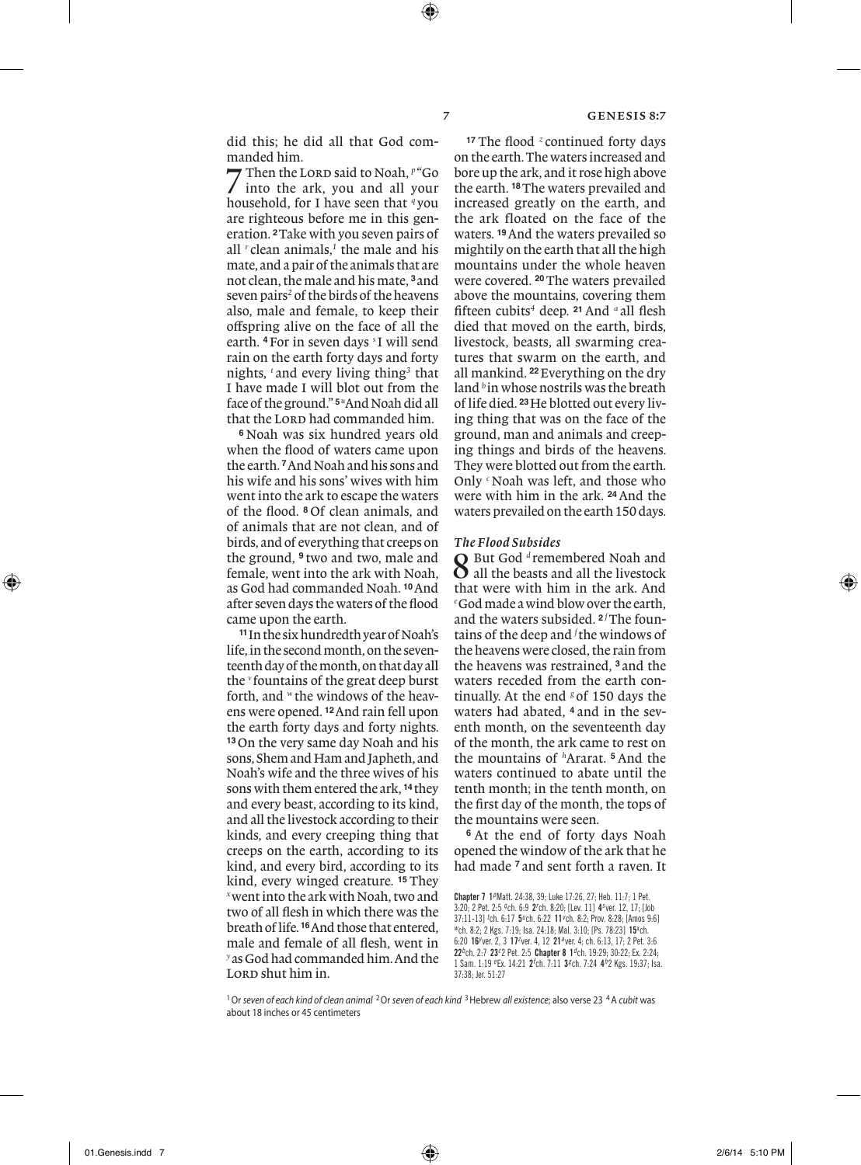did this; he did all that God commanded him.<br>Then the LORD said to Noah.  $P^*G$ 

7 Then the Lord said to Noah, *p* "Go"<br>into the ark, you and all your household, for I have seen that *<sup>q</sup>* you are righteous before me in this generation. **2**Take with you seven pairs of all *<sup>r</sup>* clean animals,*<sup>1</sup>* the male and his mate, and a pair of the animals that are not clean, the male and his mate, **<sup>3</sup>** and seven pairs*<sup>2</sup>* of the birds of the heavens also, male and female, to keep their offspring alive on the face of all the earth. **4**For in seven days *<sup>s</sup>* I will send rain on the earth forty days and forty nights, *<sup>t</sup>* and every living thing*<sup>3</sup>* that I have made I will blot out from the face of the ground." **5***<sup>u</sup>* And Noah did all that the LORD had commanded him.

**<sup>6</sup>** Noah was six hundred years old when the flood of waters came upon the earth. **7**And Noah and his sons and his wife and his sons' wives with him went into the ark to escape the waters of the flood. **<sup>8</sup>** Of clean animals, and of animals that are not clean, and of birds, and of everything that creeps on the ground, **<sup>9</sup>** two and two, male and female, went into the ark with Noah, as God had commanded Noah. **10**And after seven days the waters of the flood came upon the earth.

**<sup>11</sup>**In the six hundredth year of Noah's life, in the second month, on the seventeenth day of the month, on that day all the *<sup>v</sup>* fountains of the great deep burst forth, and *<sup>w</sup>* the windows of the heavens were opened. **12**And rain fell upon the earth forty days and forty nights. **<sup>13</sup>**On the very same day Noah and his sons, Shem and Ham and Japheth, and Noah's wife and the three wives of his sons with them entered the ark, **<sup>14</sup>** they and every beast, according to its kind, and all the livestock according to their kinds, and every creeping thing that creeps on the earth, according to its kind, and every bird, according to its kind, every winged creature. **<sup>15</sup>** They *<sup>x</sup>*went into the ark with Noah, two and two of all flesh in which there was the breath of life. **16**And those that entered, male and female of all flesh, went in *<sup>y</sup>*as God had commanded him. And the LORD shut him in.

**<sup>17</sup>** The flood *<sup>z</sup>* continued forty days on the earth. The waters increased and bore up the ark, and it rose high above the earth. **18**The waters prevailed and increased greatly on the earth, and the ark floated on the face of the waters. **19**And the waters prevailed so mightily on the earth that all the high mountains under the whole heaven were covered. **20**The waters prevailed above the mountains, covering them fifteen cubits*<sup>4</sup>* deep. **<sup>21</sup>** And *<sup>a</sup>* all flesh died that moved on the earth, birds, livestock, beasts, all swarming creatures that swarm on the earth, and all mankind. **22**Everything on the dry land <sup>b</sup> in whose nostrils was the breath of life died. **23**He blotted out every living thing that was on the face of the ground, man and animals and creeping things and birds of the heavens. They were blotted out from the earth. Only *<sup>c</sup>*Noah was left, and those who were with him in the ark. **24**And the waters prevailed on the earth 150 days.

#### *The Flood Subsides*

8 But God *<sup>d</sup>* remembered Noah and  $\Omega$  all the beasts and all the livestock that were with him in the ark. And *e* God made a wind blow over the earth, and the waters subsided. <sup>2 *f*</sup>The fountains of the deep and *<sup>f</sup>* the windows of the heavens were closed, the rain from the heavens was restrained, **<sup>3</sup>** and the waters receded from the earth continually. At the end <sup>g</sup> of 150 days the waters had abated, **<sup>4</sup>** and in the seventh month, on the seventeenth day of the month, the ark came to rest on the mountains of *<sup>h</sup>* Ararat. **<sup>5</sup>** And the waters continued to abate until the tenth month; in the tenth month, on the first day of the month, the tops of the mountains were seen.

**<sup>6</sup>** At the end of forty days Noah opened the window of the ark that he had made **<sup>7</sup>** and sent forth a raven. It

Chapter 7 1*p* Matt. 24:38, 39; Luke 17:26, 27; Heb. 11:7; 1 Pet. 3:20; 2 Pet. 2:5 *q* ch. 6:9 2*<sup>r</sup>* ch. 8:20; [Lev. 11] 4*<sup>s</sup>* ver. 12, 17; [Job 37:11-13] *<sup>t</sup>* ch. 6:17 5*u* ch. 6:22 11*<sup>v</sup>* ch. 8:2; Prov. 8:28; [Amos 9:6] *<sup>w</sup>* ch. 8:2; 2 Kgs. 7:19; Isa. 24:18; Mal. 3:10; [Ps. 78:23] 15*<sup>x</sup>* ch. 6:20 16*<sup>y</sup>* ver. 2, 3 17*<sup>z</sup>* ver. 4, 12 21*a* ver. 4; ch. 6:13, 17; 2 Pet. 3:6 22*b* ch. 2:7 23*<sup>c</sup>* 2 Pet. 2:5 Chapter 8 1*d* ch. 19:29; 30:22; Ex. 2:24; 1 Sam. 1:19 *<sup>e</sup>* Ex. 14:21 2*<sup>f</sup>* ch. 7:11 3*g* ch. 7:24 4*h* 2 Kgs. 19:37; Isa. 37:38; Jer. 51:27

<sup>1</sup>Or *seven of each kind of clean animal* 2Or *seven of each kind* 3Hebrew *all existence*; also verse 23 4A *cubit* was about 18 inches or 45 centimeters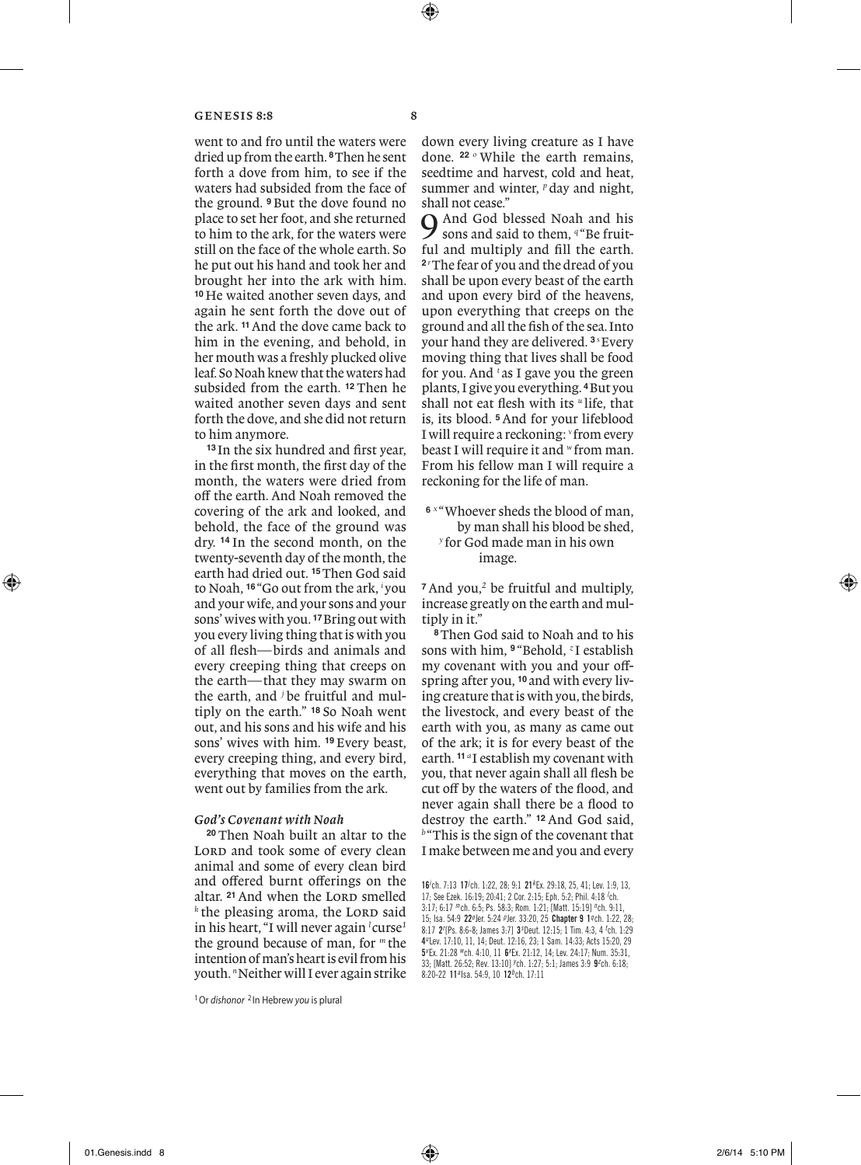went to and fro until the waters were dried up from the earth. **8**Then he sent forth a dove from him, to see if the waters had subsided from the face of the ground. **<sup>9</sup>** But the dove found no place to set her foot, and she returned to him to the ark, for the waters were still on the face of the whole earth. So he put out his hand and took her and brought her into the ark with him. **<sup>10</sup>** He waited another seven days, and again he sent forth the dove out of the ark. **11**And the dove came back to him in the evening, and behold, in her mouth was a freshly plucked olive leaf. So Noah knew that the waters had subsided from the earth. **<sup>12</sup>** Then he waited another seven days and sent forth the dove, and she did not return to him anymore.

**<sup>13</sup>** In the six hundred and first year, in the first month, the first day of the month, the waters were dried from off the earth. And Noah removed the covering of the ark and looked, and behold, the face of the ground was dry. **<sup>14</sup>** In the second month, on the twenty-seventh day of the month, the earth had dried out. **15**Then God said to Noah, **<sup>16</sup>** "Go out from the ark, *<sup>i</sup>* you and your wife, and your sons and your sons' wives with you. **17**Bring out with you every living thing that is with you of all flesh—birds and animals and every creeping thing that creeps on the earth—that they may swarm on the earth, and *<sup>j</sup>* be fruitful and multiply on the earth." **<sup>18</sup>** So Noah went out, and his sons and his wife and his sons' wives with him. **<sup>19</sup>** Every beast, every creeping thing, and every bird, everything that moves on the earth, went out by families from the ark.

# *God's Covenant with Noah*

**<sup>20</sup>** Then Noah built an altar to the LORD and took some of every clean animal and some of every clean bird and offered burnt offerings on the altar. <sup>21</sup> And when the LORD smelled <sup>*k*</sup> the pleasing aroma, the LORD said in his heart, "I will never again *<sup>l</sup>* curse*<sup>1</sup>* the ground because of man, for *<sup>m</sup>* the intention of man's heart is evil from his youth. *n*Neither will I ever again strike down every living creature as I have done. **<sup>22</sup>** *<sup>o</sup>* While the earth remains, seedtime and harvest, cold and heat, summer and winter, <sup>*p*</sup> day and night, shall not cease."

And God blessed Noah and his sons and said to them, <sup>q "</sup>Be fruitful and multiply and fill the earth. **2** *r* The fear of you and the dread of you shall be upon every beast of the earth and upon every bird of the heavens, upon everything that creeps on the ground and all the fish of the sea. Into your hand they are delivered. **<sup>3</sup>** *<sup>s</sup>* Every moving thing that lives shall be food for you. And *<sup>t</sup>* as I gave you the green plants, I give you everything. **4**But you shall not eat flesh with its *<sup>u</sup>* life, that is, its blood. **5**And for your lifeblood I will require a reckoning: *<sup>v</sup>* from every beast I will require it and *<sup>w</sup>*from man. From his fellow man I will require a reckoning for the life of man.

**<sup>6</sup>** *<sup>x</sup>* "Whoever sheds the blood of man, by man shall his blood be shed, *<sup>y</sup>* for God made man in his own image.

**<sup>7</sup>** And you,*<sup>2</sup>* be fruitful and multiply, increase greatly on the earth and multiply in it."

**<sup>8</sup>**Then God said to Noah and to his sons with him, **<sup>9</sup>** "Behold, *<sup>z</sup>* I establish my covenant with you and your offspring after you, **<sup>10</sup>** and with every living creature that is with you, the birds, the livestock, and every beast of the earth with you, as many as came out of the ark; it is for every beast of the earth. **<sup>11</sup>** *<sup>a</sup>* I establish my covenant with you, that never again shall all flesh be cut off by the waters of the flood, and never again shall there be a flood to destroy the earth." **<sup>12</sup>** And God said, *<sup>b</sup>* "This is the sign of the covenant that I make between me and you and every

1Or *dishonor* <sup>2</sup> In Hebrew *you* is plural

<sup>16</sup>*i* ch. 7:13 17*<sup>j</sup>* ch. 1:22, 28; 9:1 21*<sup>k</sup>* Ex. 29:18, 25, 41; Lev. 1:9, 13, 17; See Ezek. 16:19; 20:41; 2 Cor. 2:15; Eph. 5:2; Phil. 4:18 <sup>/</sup>ch. 3:17; 6:17 *m* ch. 6:5; Ps. 58:3; Rom. 1:21; [Matt. 15:19] *n* ch. 9:11, 15; Isa. 54:9 22*<sup>o</sup>* Jer. 5:24 *p* Jer. 33:20, 25 Chapter 9 1*q* ch. 1:22, 28; 8:17 2<sup>*r*</sup> [Ps. 8:6-8; James 3:7] 3<sup>*s*</sup> Deut. 12:15; 1 Tim. 4:3, 4 <sup>t</sup>ch. 1:29 4*u* Lev. 17:10, 11, 14; Deut. 12:16, 23; 1 Sam. 14:33; Acts 15:20, 29 5*v* Ex. 21:28 *w* ch. 4:10, 11 6*<sup>x</sup>* Ex. 21:12, 14; Lev. 24:17; Num. 35:31, 33; [Matt. 26:52; Rev. 13:10] *<sup>y</sup>* ch. 1:27; 5:1; James 3:9 9*<sup>z</sup>* ch. 6:18; 8:20-22 11*a* Isa. 54:9, 10 12*b* ch. 17:11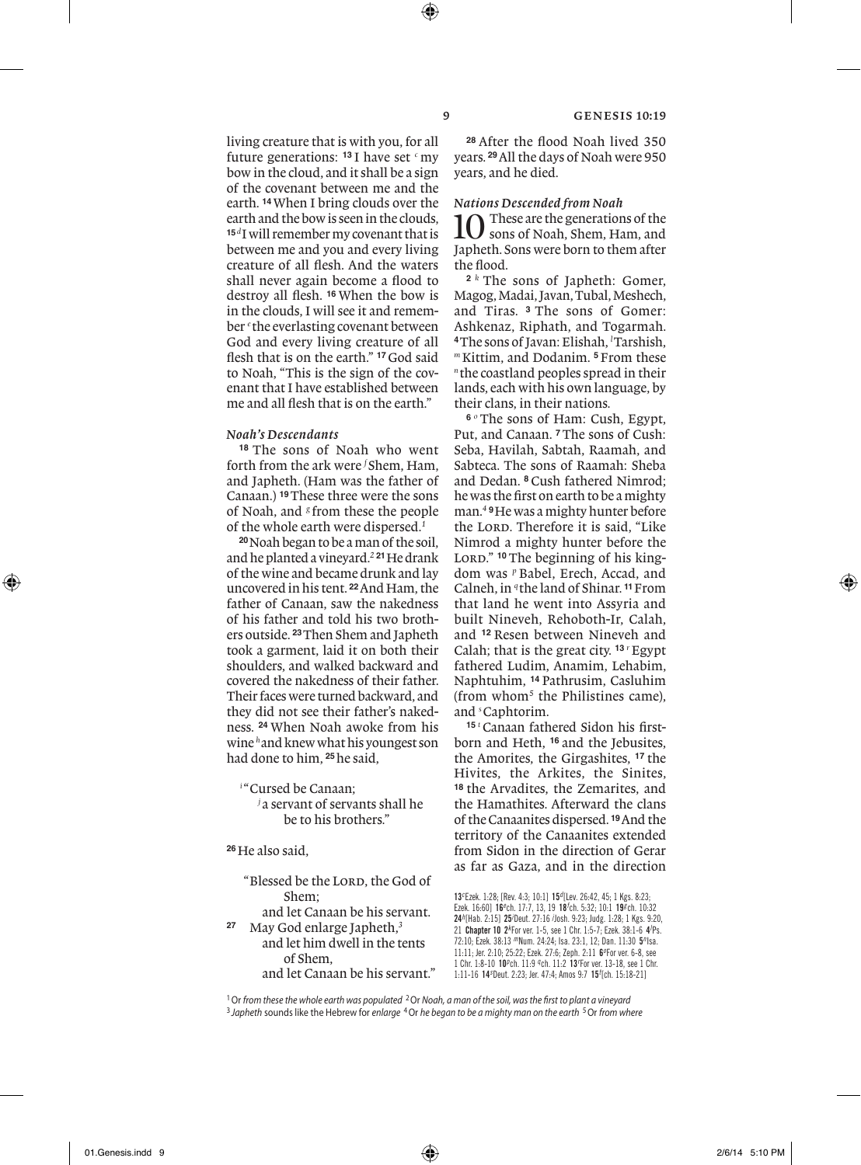living creature that is with you, for all future generations: **<sup>13</sup>** I have set *<sup>c</sup>* my bow in the cloud, and it shall be a sign of the covenant between me and the earth. **14**When I bring clouds over the earth and the bow is seen in the clouds, **<sup>15</sup>***<sup>d</sup>*I will remember my covenant that is between me and you and every living creature of all flesh. And the waters shall never again become a flood to destroy all flesh. **<sup>16</sup>** When the bow is in the clouds, I will see it and remember *<sup>e</sup>* the everlasting covenant between God and every living creature of all flesh that is on the earth." **17**God said to Noah, "This is the sign of the covenant that I have established between me and all flesh that is on the earth."

#### *Noah's Descendants*

**<sup>18</sup>** The sons of Noah who went forth from the ark were *<sup>f</sup>* Shem, Ham, and Japheth. (Ham was the father of Canaan.) **19**These three were the sons of Noah, and <sup>*g*</sup> from these the people of the whole earth were dispersed.*<sup>1</sup>*

**<sup>20</sup>**Noah began to be a man of the soil, and he planted a vineyard.*<sup>2</sup>* **<sup>21</sup>**He drank of the wine and became drunk and lay uncovered in his tent. **22**And Ham, the father of Canaan, saw the nakedness of his father and told his two brothers outside. **23**Then Shem and Japheth took a garment, laid it on both their shoulders, and walked backward and covered the nakedness of their father. Their faces were turned backward, and they did not see their father's nakedness. **<sup>24</sup>** When Noah awoke from his wine *<sup>h</sup>*and knew what his youngest son had done to him, **25**he said,

*i* "Cursed be Canaan;

*j* a servant of servants shall he be to his brothers."

**<sup>26</sup>**He also said,

- "Blessed be the LORD, the God of Shem;
- and let Canaan be his servant. **<sup>27</sup>** May God enlarge Japheth,*<sup>3</sup>* and let him dwell in the tents of Shem, and let Canaan be his servant."

**<sup>28</sup>** After the flood Noah lived 350 years. **29**All the days of Noah were 950 years, and he died.

### *Nations Descended from Noah*

 $\blacksquare$  These are the generations of the sons of Noah, Shem, Ham, and Japheth. Sons were born to them after the flood.

**<sup>2</sup>** *<sup>k</sup>* The sons of Japheth: Gomer, Magog, Madai, Javan, Tubal, Meshech, and Tiras. **<sup>3</sup>** The sons of Gomer: Ashkenaz, Riphath, and Togarmah. **<sup>4</sup>**The sons of Javan: Elishah, *<sup>l</sup>* Tarshish, *<sup>m</sup>* Kittim, and Dodanim. **<sup>5</sup>** From these *<sup>n</sup>* the coastland peoples spread in their lands, each with his own language, by their clans, in their nations.

**<sup>6</sup>** *<sup>o</sup>* The sons of Ham: Cush, Egypt, Put, and Canaan. **7**The sons of Cush: Seba, Havilah, Sabtah, Raamah, and Sabteca. The sons of Raamah: Sheba and Dedan. **<sup>8</sup>** Cush fathered Nimrod; he was the first on earth to be a mighty man.*<sup>4</sup>* **<sup>9</sup>**He was a mighty hunter before the LORD. Therefore it is said. "Like Nimrod a mighty hunter before the LORD." <sup>10</sup> The beginning of his kingdom was *<sup>p</sup>* Babel, Erech, Accad, and Calneh, in *<sup>q</sup>* the land of Shinar. **11**From that land he went into Assyria and built Nineveh, Rehoboth-Ir, Calah, and **<sup>12</sup>** Resen between Nineveh and Calah; that is the great city. <sup>13</sup> <sup>*r*</sup>Egypt fathered Ludim, Anamim, Lehabim, Naphtuhim, **<sup>14</sup>** Pathrusim, Casluhim (from whom*<sup>5</sup>* the Philistines came), and *<sup>s</sup>* Caphtorim.

**15** *t* Canaan fathered Sidon his firstborn and Heth, **<sup>16</sup>** and the Jebusites, the Amorites, the Girgashites, **<sup>17</sup>** the Hivites, the Arkites, the Sinites, **<sup>18</sup>** the Arvadites, the Zemarites, and the Hamathites. Afterward the clans of the Canaanites dispersed. **19**And the territory of the Canaanites extended from Sidon in the direction of Gerar as far as Gaza, and in the direction

1Or *from these the whole earth was populated* 2Or *Noah, a man of the soil, was the first to plant a vineyard* <sup>3</sup> *Japheth* sounds like the Hebrew for *enlarge* 4Or *he began to be a mighty man on the earth* 5Or *from where*

<sup>13</sup>*<sup>c</sup>* Ezek. 1:28; [Rev. 4:3; 10:1] 15*d* [Lev. 26:42, 45; 1 Kgs. 8:23; Ezek. 16:60] 16<sup>e</sup>ch. 17:7, 13, 19 18<sup>t</sup>ch. 5:32; 10:1 19<sup>g</sup>ch. 10:32 24*h* [Hab. 2:15] 25*<sup>i</sup>* Deut. 27:16 *<sup>j</sup>* Josh. 9:23; Judg. 1:28; 1 Kgs. 9:20, 21 Chapter 10 2*<sup>k</sup>* For ver. 1-5, see 1 Chr. 1:5-7; Ezek. 38:1-6 4*<sup>l</sup>* Ps. 72:10; Ezek. 38:13 *m* Num. 24:24; Isa. 23:1, 12; Dan. 11:30 5*n* Isa. 11:11; Jer. 2:10; 25:22; Ezek. 27:6; Zeph. 2:11 6*<sup>o</sup>* For ver. 6-8, see 1 Chr. 1:8-10 10*p* ch. 11:9 *q* ch. 11:2 13*<sup>r</sup>* For ver. 13-18, see 1 Chr. 1:11-16 14*<sup>s</sup>* Deut. 2:23; Jer. 47:4; Amos 9:7 15*<sup>t</sup>* [ch. 15:18-21]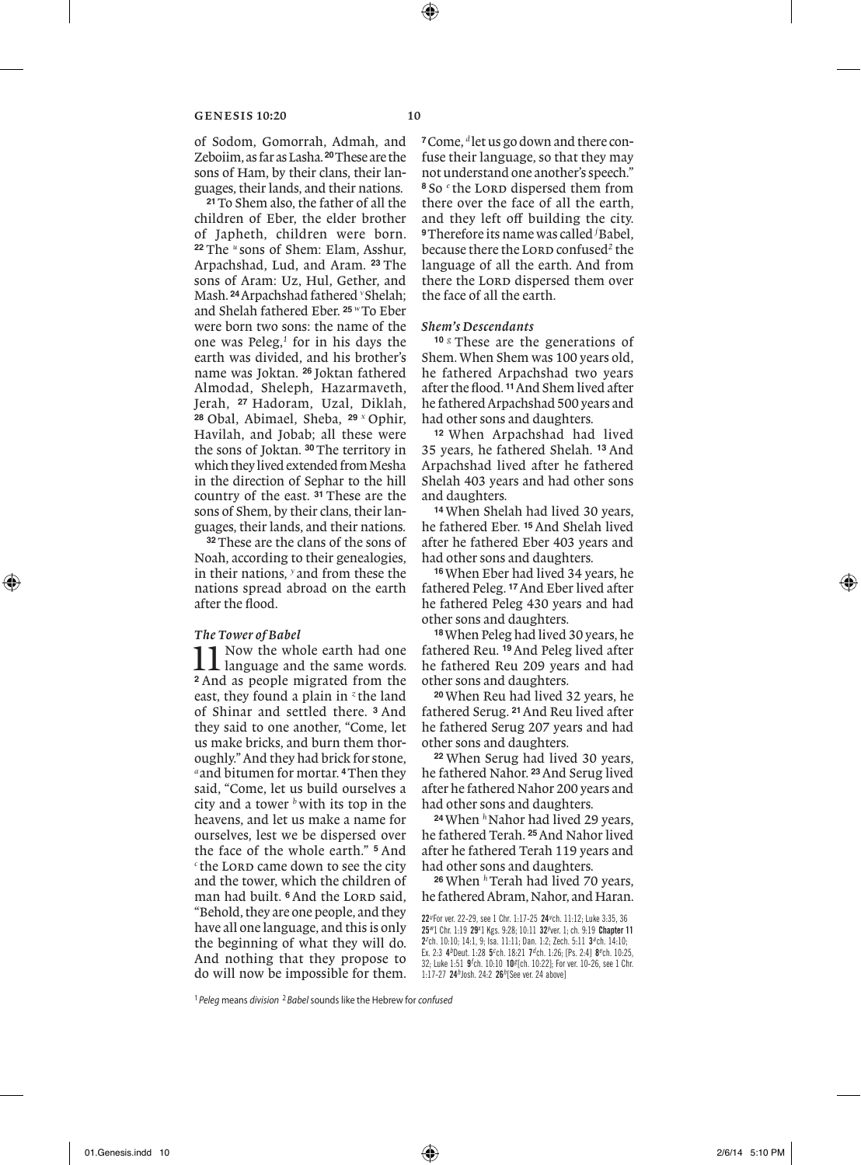of Sodom, Gomorrah, Admah, and Zeboiim, as far as Lasha. **20**These are the sons of Ham, by their clans, their languages, their lands, and their nations.

**<sup>21</sup>**To Shem also, the father of all the children of Eber, the elder brother of Japheth, children were born. **<sup>22</sup>** The *<sup>u</sup>* sons of Shem: Elam, Asshur, Arpachshad, Lud, and Aram. **<sup>23</sup>** The sons of Aram: Uz, Hul, Gether, and Mash. **24**Arpachshad fathered *<sup>v</sup>*Shelah; and Shelah fathered Eber. **<sup>25</sup>** *<sup>w</sup>* To Eber were born two sons: the name of the one was Peleg,*<sup>1</sup>* for in his days the earth was divided, and his brother's name was Joktan. **<sup>26</sup>** Joktan fathered Almodad, Sheleph, Hazarmaveth, Jerah, **<sup>27</sup>** Hadoram, Uzal, Diklah, **<sup>28</sup>** Obal, Abimael, Sheba, **<sup>29</sup>** *<sup>x</sup>* Ophir, Havilah, and Jobab; all these were the sons of Joktan. **30**The territory in which they lived extended from Mesha in the direction of Sephar to the hill country of the east. **<sup>31</sup>** These are the sons of Shem, by their clans, their languages, their lands, and their nations.

**<sup>32</sup>**These are the clans of the sons of Noah, according to their genealogies, in their nations, *<sup>y</sup>* and from these the nations spread abroad on the earth after the flood.

# *The Tower of Babel*

11 Now the whole earth had one language and the same words. **<sup>2</sup>** And as people migrated from the east, they found a plain in *<sup>z</sup>* the land of Shinar and settled there. **<sup>3</sup>** And they said to one another, "Come, let us make bricks, and burn them thoroughly." And they had brick for stone, *<sup>a</sup>* and bitumen for mortar. **4**Then they said, "Come, let us build ourselves a city and a tower *<sup>b</sup>*with its top in the heavens, and let us make a name for ourselves, lest we be dispersed over the face of the whole earth." **<sup>5</sup>** And <sup>c</sup> the LORD came down to see the city and the tower, which the children of man had built. <sup>6</sup> And the LORD said, "Behold, they are one people, and they have all one language, and this is only the beginning of what they will do. And nothing that they propose to do will now be impossible for them.

**<sup>7</sup>**Come, *<sup>d</sup>* let us go down and there confuse their language, so that they may not understand one another's speech." <sup>8</sup> So <sup>*e*</sup> the LORD dispersed them from there over the face of all the earth, and they left off building the city. **<sup>9</sup>**Therefore its name was called *<sup>f</sup>* Babel, because there the LORD confused<sup>2</sup> the language of all the earth. And from there the LORD dispersed them over the face of all the earth.

# *Shem's Descendants*

**<sup>10</sup>** *<sup>g</sup>* These are the generations of Shem. When Shem was 100 years old, he fathered Arpachshad two years after the flood. **11**And Shem lived after he fathered Arpachshad 500 years and had other sons and daughters.

**<sup>12</sup>** When Arpachshad had lived 35 years, he fathered Shelah. **<sup>13</sup>** And Arpachshad lived after he fathered Shelah 403 years and had other sons and daughters.

**<sup>14</sup>** When Shelah had lived 30 years, he fathered Eber. **15**And Shelah lived after he fathered Eber 403 years and had other sons and daughters.

**<sup>16</sup>**When Eber had lived 34 years, he fathered Peleg. **17**And Eber lived after he fathered Peleg 430 years and had other sons and daughters.

**<sup>18</sup>**When Peleg had lived 30 years, he fathered Reu. **19**And Peleg lived after he fathered Reu 209 years and had other sons and daughters.

**<sup>20</sup>**When Reu had lived 32 years, he fathered Serug. **21**And Reu lived after he fathered Serug 207 years and had other sons and daughters.

**<sup>22</sup>** When Serug had lived 30 years, he fathered Nahor. **23**And Serug lived after he fathered Nahor 200 years and had other sons and daughters.

<sup>24</sup> When <sup>h</sup>Nahor had lived 29 years, he fathered Terah. **25**And Nahor lived after he fathered Terah 119 years and had other sons and daughters.

<sup>26</sup> When <sup>h</sup>Terah had lived 70 years, he fathered Abram, Nahor, and Haran.

22*u* For ver. 22-29, see 1 Chr. 1:17-25 24*<sup>v</sup>* ch. 11:12; Luke 3:35, 36 25<sup>w</sup>1 Chr. 1:19 29<sup>x</sup>1 Kgs. 9:28; 10:11 32<sup>y</sup>ver. 1; ch. 9:19 Chapter 11 2*z* ch. 10:10; 14:1, 9; Isa. 11:11; Dan. 1:2; Zech. 5:11 3*a* ch. 14:10; Ex. 2:3 4<sup>b</sup>Deut. 1:28 5<sup>c</sup>ch. 18:21 7<sup>d</sup>ch. 1:26; [Ps. 2:4] 8<sup>e</sup>ch. 10:25, 32; Luke 1:51 9*<sup>f</sup>* ch. 10:10 10*g* [ch. 10:22]; For ver. 10-26, see 1 Chr. 1:17-27 24*h* Josh. 24:2 26*h* [See ver. 24 above]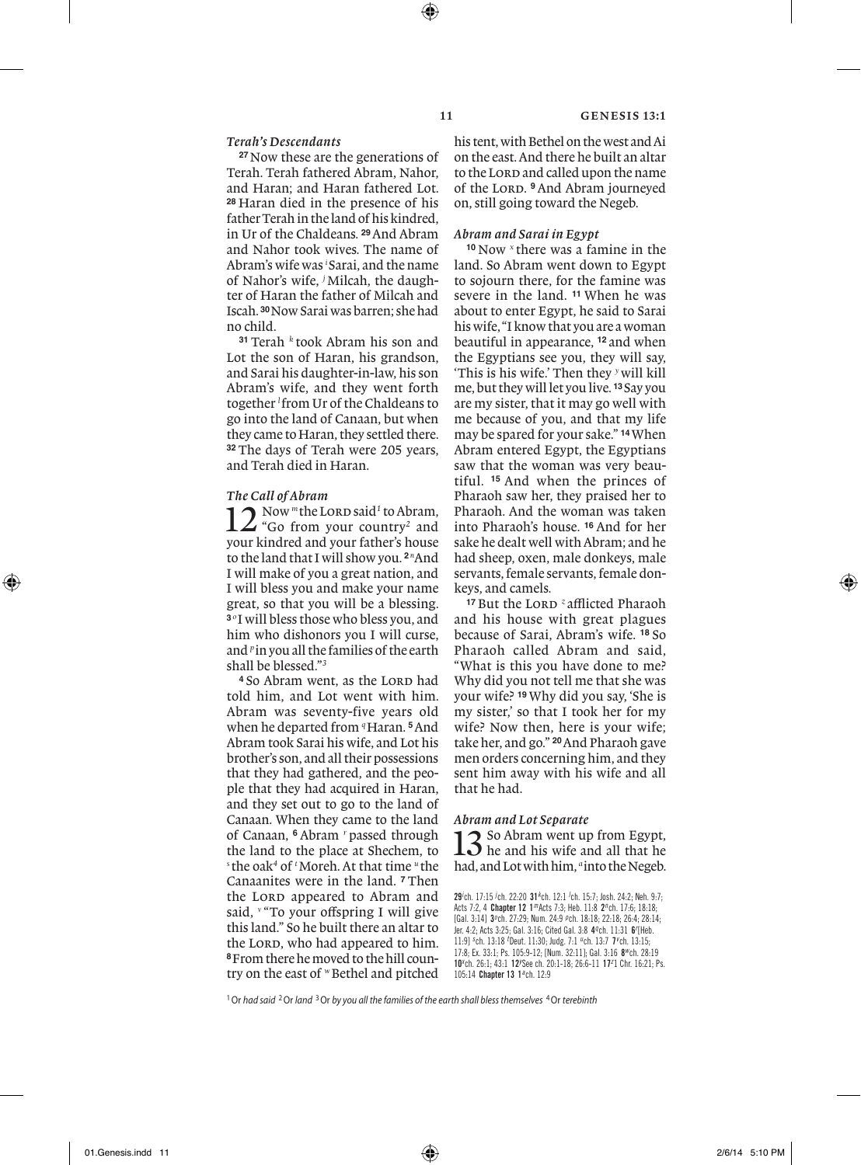# *Terah's Descendants*

**<sup>27</sup>**Now these are the generations of Terah. Terah fathered Abram, Nahor, and Haran; and Haran fathered Lot. **<sup>28</sup>** Haran died in the presence of his father Terah in the land of his kindred, in Ur of the Chaldeans. **29**And Abram and Nahor took wives. The name of Abram's wife was *<sup>i</sup>* Sarai, and the name of Nahor's wife, *<sup>j</sup>* Milcah, the daughter of Haran the father of Milcah and Iscah. **30**Now Sarai was barren; she had no child.

**<sup>31</sup>** Terah *<sup>k</sup>* took Abram his son and Lot the son of Haran, his grandson. and Sarai his daughter-in-law, his son Abram's wife, and they went forth together *<sup>l</sup>* from Ur of the Chaldeans to go into the land of Canaan, but when they came to Haran, they settled there. **<sup>32</sup>** The days of Terah were 205 years, and Terah died in Haran.

### *The Call of Abram*

 $\sum_{\text{``Go from your country}^2 \text{ and}}$ Now "the LORD said<sup>1</sup> to Abram, your kindred and your father's house to the land that I will show you. **<sup>2</sup>** *<sup>n</sup>* And I will make of you a great nation, and I will bless you and make your name great, so that you will be a blessing. **<sup>3</sup>** *<sup>o</sup>* I will bless those who bless you, and him who dishonors you I will curse, and *<sup>p</sup>*in you all the families of the earth shall be blessed."*<sup>3</sup>*

<sup>4</sup> So Abram went, as the LORD had told him, and Lot went with him. Abram was seventy-five years old when he departed from <sup>q</sup>Haran. <sup>5</sup>And Abram took Sarai his wife, and Lot his brother's son, and all their possessions that they had gathered, and the people that they had acquired in Haran, and they set out to go to the land of Canaan. When they came to the land of Canaan, **<sup>6</sup>** Abram *<sup>r</sup>* passed through the land to the place at Shechem, to *s* the oak*<sup>4</sup>* of *<sup>t</sup>* Moreh. At that time *<sup>u</sup>* the Canaanites were in the land. **<sup>7</sup>** Then the LORD appeared to Abram and said, <sup>*v*</sup> "To your offspring I will give this land." So he built there an altar to the LORD, who had appeared to him. **8**From there he moved to the hill country on the east of *w* Bethel and pitched

his tent, with Bethel on the west and Ai on the east. And there he built an altar to the LORD and called upon the name of the Lord. **9**And Abram journeyed on, still going toward the Negeb.

# *Abram and Sarai in Egypt*

**<sup>10</sup>** Now *<sup>x</sup>* there was a famine in the land. So Abram went down to Egypt to sojourn there, for the famine was severe in the land. **<sup>11</sup>** When he was about to enter Egypt, he said to Sarai his wife, "I know that you are a woman beautiful in appearance, **<sup>12</sup>** and when the Egyptians see you, they will say, 'This is his wife.' Then they *<sup>y</sup>*will kill me, but they will let you live. **<sup>13</sup>** Say you are my sister, that it may go well with me because of you, and that my life may be spared for your sake." **14**When Abram entered Egypt, the Egyptians saw that the woman was very beautiful. **<sup>15</sup>** And when the princes of Pharaoh saw her, they praised her to Pharaoh. And the woman was taken into Pharaoh's house. **<sup>16</sup>** And for her sake he dealt well with Abram; and he had sheep, oxen, male donkeys, male servants, female servants, female donkeys, and camels.

<sup>17</sup> But the LORD<sup>*z*</sup> afflicted Pharaoh and his house with great plagues because of Sarai, Abram's wife. **<sup>18</sup>** So Pharaoh called Abram and said, "What is this you have done to me? Why did you not tell me that she was your wife? **19**Why did you say, 'She is my sister,' so that I took her for my wife? Now then, here is your wife; take her, and go." **20**And Pharaoh gave men orders concerning him, and they sent him away with his wife and all that he had.

# *Abram and Lot Separate*

13 So Abram went up from Egypt, he and his wife and all that he had, and Lot with him, *<sup>a</sup>*into the Negeb.

29*i* ch. 17:15 *<sup>j</sup>* ch. 22:20 31*<sup>k</sup>* ch. 12:1 *<sup>l</sup>* ch. 15:7; Josh. 24:2; Neh. 9:7; Acts 7:2, 4 Chapter 12 1*m* Acts 7:3; Heb. 11:8 2*n* ch. 17:6; 18:18; [Gal. 3:14] 3*<sup>o</sup>* ch. 27:29; Num. 24:9 *p* ch. 18:18; 22:18; 26:4; 28:14; Jer. 4:2; Acts 3:25; Gal. 3:16; Cited Gal. 3:8 4*q* ch. 11:31 6*<sup>r</sup>* [Heb. 11:9] *<sup>s</sup>* ch. 13:18 *<sup>t</sup>* Deut. 11:30; Judg. 7:1 *u* ch. 13:7 7*<sup>v</sup>* ch. 13:15; 17:8; Ex. 33:1; Ps. 105:9-12; [Num. 32:11]; Gal. 3:16 8*w* ch. 28:19 10<sup>x</sup>ch. 26:1; 43:1 12<sup>y</sup>See ch. 20:1-18; 26:6-11 17<sup>z</sup>1 Chr. 16:21; Ps. 105:14 Chapter 13 1*a* ch. 12:9

1Or *had said* 2Or *land* 3Or *by you all the families of the earth shall bless themselves* 4Or *terebinth*